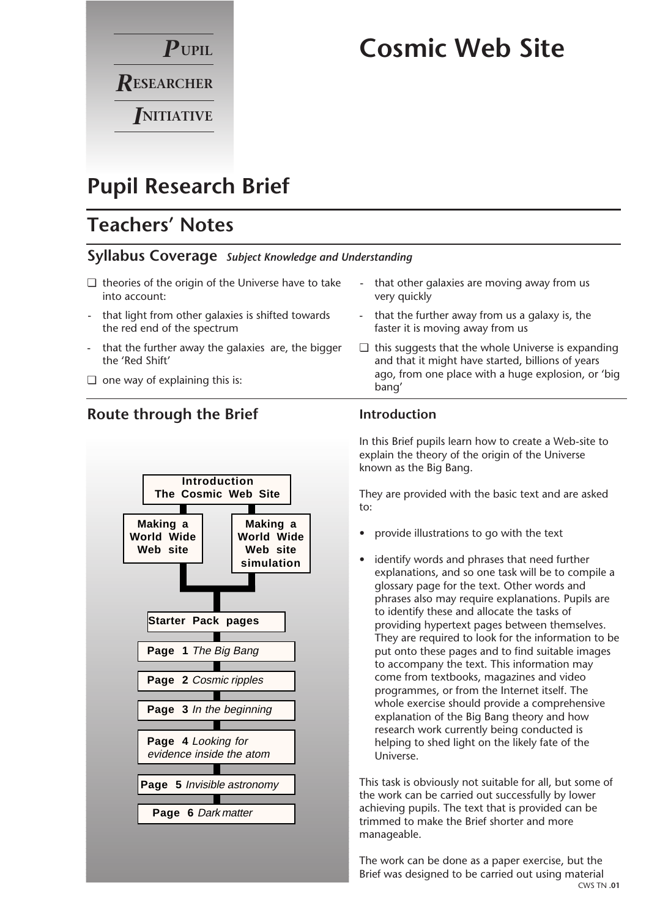

# **Cosmic Web Site**

# **Pupil Research Brief**

# **Teachers' Notes**

## **Syllabus Coverage** *Subject Knowledge and Understanding*

- ❏ theories of the origin of the Universe have to take into account:
- that light from other galaxies is shifted towards the red end of the spectrum
- that the further away the galaxies are, the bigger the 'Red Shift'
- ❏ one way of explaining this is:

## **Route through the Brief**



- that other galaxies are moving away from us very quickly
- that the further away from us a galaxy is, the faster it is moving away from us
- ❏ this suggests that the whole Universe is expanding and that it might have started, billions of years ago, from one place with a huge explosion, or 'big bang'

## **Introduction**

In this Brief pupils learn how to create a Web-site to explain the theory of the origin of the Universe known as the Big Bang.

They are provided with the basic text and are asked to:

- provide illustrations to go with the text
- identify words and phrases that need further explanations, and so one task will be to compile a glossary page for the text. Other words and phrases also may require explanations. Pupils are to identify these and allocate the tasks of providing hypertext pages between themselves. They are required to look for the information to be put onto these pages and to find suitable images to accompany the text. This information may come from textbooks, magazines and video programmes, or from the Internet itself. The whole exercise should provide a comprehensive explanation of the Big Bang theory and how research work currently being conducted is helping to shed light on the likely fate of the Universe.

This task is obviously not suitable for all, but some of the work can be carried out successfully by lower achieving pupils. The text that is provided can be trimmed to make the Brief shorter and more manageable.

The work can be done as a paper exercise, but the Brief was designed to be carried out using material CWS TN **.01**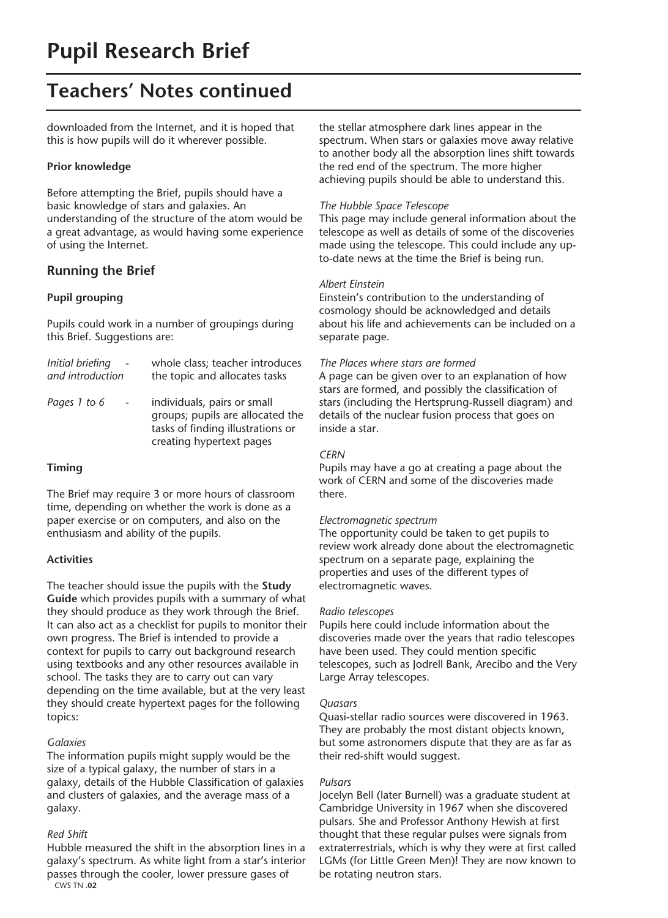## **Teachers' Notes continued**

downloaded from the Internet, and it is hoped that this is how pupils will do it wherever possible.

#### **Prior knowledge**

Before attempting the Brief, pupils should have a basic knowledge of stars and galaxies. An understanding of the structure of the atom would be a great advantage, as would having some experience of using the Internet.

### **Running the Brief**

#### **Pupil grouping**

Pupils could work in a number of groupings during this Brief. Suggestions are:

| Initial briefing                         | whole class; teacher introduces                                                                                                  |
|------------------------------------------|----------------------------------------------------------------------------------------------------------------------------------|
| and introduction                         | the topic and allocates tasks                                                                                                    |
| Pages 1 to 6<br>$\overline{\phantom{a}}$ | individuals, pairs or small<br>groups; pupils are allocated the<br>tasks of finding illustrations or<br>creating hypertext pages |

#### **Timing**

The Brief may require 3 or more hours of classroom time, depending on whether the work is done as a paper exercise or on computers, and also on the enthusiasm and ability of the pupils.

#### **Activities**

The teacher should issue the pupils with the **Study Guide** which provides pupils with a summary of what they should produce as they work through the Brief. It can also act as a checklist for pupils to monitor their own progress. The Brief is intended to provide a context for pupils to carry out background research using textbooks and any other resources available in school. The tasks they are to carry out can vary depending on the time available, but at the very least they should create hypertext pages for the following topics:

#### *Galaxies*

The information pupils might supply would be the size of a typical galaxy, the number of stars in a galaxy, details of the Hubble Classification of galaxies and clusters of galaxies, and the average mass of a galaxy.

#### *Red Shift*

Hubble measured the shift in the absorption lines in a galaxy's spectrum. As white light from a star's interior passes through the cooler, lower pressure gases of CWS TN **.02**

the stellar atmosphere dark lines appear in the spectrum. When stars or galaxies move away relative to another body all the absorption lines shift towards the red end of the spectrum. The more higher achieving pupils should be able to understand this.

#### *The Hubble Space Telescope*

This page may include general information about the telescope as well as details of some of the discoveries made using the telescope. This could include any upto-date news at the time the Brief is being run.

#### *Albert Einstein*

Einstein's contribution to the understanding of cosmology should be acknowledged and details about his life and achievements can be included on a separate page.

#### *The Places where stars are formed*

A page can be given over to an explanation of how stars are formed, and possibly the classification of stars (including the Hertsprung-Russell diagram) and details of the nuclear fusion process that goes on inside a star.

#### *CERN*

Pupils may have a go at creating a page about the work of CERN and some of the discoveries made there.

#### *Electromagnetic spectrum*

The opportunity could be taken to get pupils to review work already done about the electromagnetic spectrum on a separate page, explaining the properties and uses of the different types of electromagnetic waves.

#### *Radio telescopes*

Pupils here could include information about the discoveries made over the years that radio telescopes have been used. They could mention specific telescopes, such as Jodrell Bank, Arecibo and the Very Large Array telescopes.

#### *Quasars*

Quasi-stellar radio sources were discovered in 1963. They are probably the most distant objects known, but some astronomers dispute that they are as far as their red-shift would suggest.

#### *Pulsars*

Jocelyn Bell (later Burnell) was a graduate student at Cambridge University in 1967 when she discovered pulsars. She and Professor Anthony Hewish at first thought that these regular pulses were signals from extraterrestrials, which is why they were at first called LGMs (for Little Green Men)! They are now known to be rotating neutron stars.